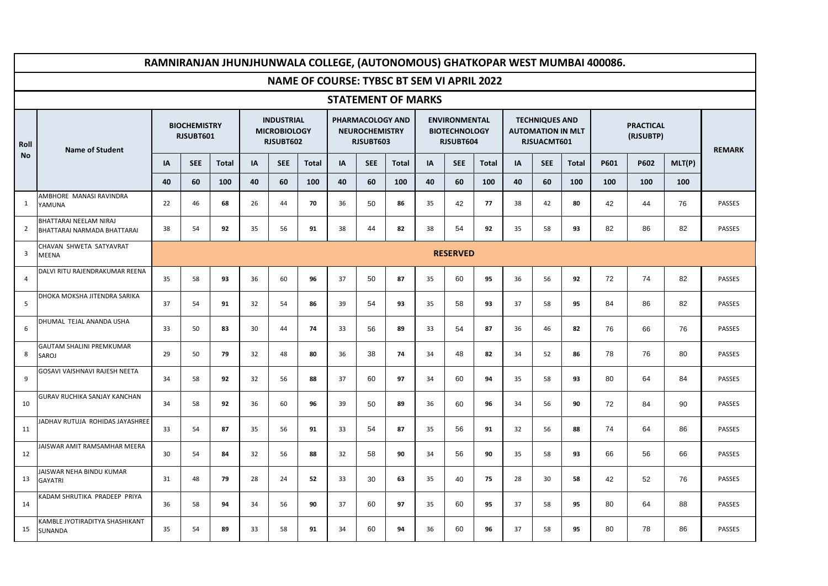|                         |                                                       |    |                                  |              |                                                       |            |              |                           |                                                        |              |    |                                                           |                                                   |    |                                                                  |              | RAMNIRANJAN JHUNJHUNWALA COLLEGE, (AUTONOMOUS) GHATKOPAR WEST MUMBAI 400086. |                               |        |               |  |
|-------------------------|-------------------------------------------------------|----|----------------------------------|--------------|-------------------------------------------------------|------------|--------------|---------------------------|--------------------------------------------------------|--------------|----|-----------------------------------------------------------|---------------------------------------------------|----|------------------------------------------------------------------|--------------|------------------------------------------------------------------------------|-------------------------------|--------|---------------|--|
|                         |                                                       |    |                                  |              |                                                       |            |              |                           |                                                        |              |    |                                                           | <b>NAME OF COURSE: TYBSC BT SEM VI APRIL 2022</b> |    |                                                                  |              |                                                                              |                               |        |               |  |
|                         |                                                       |    |                                  |              |                                                       |            |              | <b>STATEMENT OF MARKS</b> |                                                        |              |    |                                                           |                                                   |    |                                                                  |              |                                                                              |                               |        |               |  |
| Roll                    | <b>Name of Student</b>                                |    | <b>BIOCHEMISTRY</b><br>RJSUBT601 |              | <b>INDUSTRIAL</b><br><b>MICROBIOLOGY</b><br>RJSUBT602 |            |              |                           | PHARMACOLOGY AND<br><b>NEUROCHEMISTRY</b><br>RJSUBT603 |              |    | <b>ENVIRONMENTAL</b><br><b>BIOTECHNOLOGY</b><br>RJSUBT604 |                                                   |    | <b>TECHNIQUES AND</b><br><b>AUTOMATION IN MLT</b><br>RJSUACMT601 |              |                                                                              | <b>PRACTICAL</b><br>(RJSUBTP) |        |               |  |
| <b>No</b>               |                                                       | IA | <b>SEE</b>                       | <b>Total</b> | IA                                                    | <b>SEE</b> | <b>Total</b> | IA                        | <b>SEE</b>                                             | <b>Total</b> | IA | <b>SEE</b>                                                | <b>Total</b>                                      | IA | <b>SEE</b>                                                       | <b>Total</b> | P601                                                                         | P602                          | MLT(P) |               |  |
|                         |                                                       | 40 | 60                               | 100          | 40                                                    | 60         | 100          | 40                        | 60                                                     | 100          | 40 | 60                                                        | 100                                               | 40 | 60                                                               | 100          | 100                                                                          | 100                           | 100    |               |  |
| 1                       | AMBHORE MANASI RAVINDRA<br>YAMUNA                     | 22 | 46                               | 68           | 26                                                    | 44         | 70           | 36                        | 50                                                     | 86           | 35 | 42                                                        | 77                                                | 38 | 42                                                               | 80           | 42                                                                           | 44                            | 76     | PASSES        |  |
| 2                       | BHATTARAI NEELAM NIRAJ<br>BHATTARAI NARMADA BHATTARAI | 38 | 54                               | 92           | 35                                                    | 56         | 91           | 38                        | 44                                                     | 82           | 38 | 54                                                        | 92                                                | 35 | 58                                                               | 93           | 82                                                                           | 86                            | 82     | PASSES        |  |
| $\overline{\mathbf{3}}$ | CHAVAN SHWETA SATYAVRAT<br><b>MEENA</b>               |    | <b>RESERVED</b>                  |              |                                                       |            |              |                           |                                                        |              |    |                                                           |                                                   |    |                                                                  |              |                                                                              |                               |        |               |  |
| $\overline{4}$          | DALVI RITU RAJENDRAKUMAR REENA                        | 35 | 58                               | 93           | 36                                                    | 60         | 96           | 37                        | 50                                                     | 87           | 35 | 60                                                        | 95                                                | 36 | 56                                                               | 92           | 72                                                                           | 74                            | 82     | <b>PASSES</b> |  |
| 5                       | DHOKA MOKSHA JITENDRA SARIKA                          | 37 | 54                               | 91           | 32                                                    | 54         | 86           | 39                        | 54                                                     | 93           | 35 | 58                                                        | 93                                                | 37 | 58                                                               | 95           | 84                                                                           | 86                            | 82     | PASSES        |  |
| 6                       | DHUMAL TEJAL ANANDA USHA                              | 33 | 50                               | 83           | 30                                                    | 44         | 74           | 33                        | 56                                                     | 89           | 33 | 54                                                        | 87                                                | 36 | 46                                                               | 82           | 76                                                                           | 66                            | 76     | PASSES        |  |
| 8                       | <b>GAUTAM SHALINI PREMKUMAR</b><br>SAROJ              | 29 | 50                               | 79           | 32                                                    | 48         | 80           | 36                        | 38                                                     | 74           | 34 | 48                                                        | 82                                                | 34 | 52                                                               | 86           | 78                                                                           | 76                            | 80     | <b>PASSES</b> |  |
| 9                       | GOSAVI VAISHNAVI RAJESH NEETA                         | 34 | 58                               | 92           | 32                                                    | 56         | 88           | 37                        | 60                                                     | 97           | 34 | 60                                                        | 94                                                | 35 | 58                                                               | 93           | 80                                                                           | 64                            | 84     | <b>PASSES</b> |  |
| 10                      | GURAV RUCHIKA SANJAY KANCHAN                          | 34 | 58                               | 92           | 36                                                    | 60         | 96           | 39                        | 50                                                     | 89           | 36 | 60                                                        | 96                                                | 34 | 56                                                               | 90           | 72                                                                           | 84                            | 90     | PASSES        |  |
| 11                      | ADHAV RUTUJA ROHIDAS JAYASHREE                        | 33 | 54                               | 87           | 35                                                    | 56         | 91           | 33                        | 54                                                     | 87           | 35 | 56                                                        | 91                                                | 32 | 56                                                               | 88           | 74                                                                           | 64                            | 86     | PASSES        |  |
| 12                      | AISWAR AMIT RAMSAMHAR MEERA                           | 30 | 54                               | 84           | 32                                                    | 56         | 88           | 32                        | 58                                                     | 90           | 34 | 56                                                        | 90                                                | 35 | 58                                                               | 93           | 66                                                                           | 56                            | 66     | PASSES        |  |
| 13                      | <b>IAISWAR NEHA BINDU KUMAR</b><br><b>GAYATRI</b>     | 31 | 48                               | 79           | 28                                                    | 24         | 52           | 33                        | 30                                                     | 63           | 35 | 40                                                        | 75                                                | 28 | 30                                                               | 58           | 42                                                                           | 52                            | 76     | PASSES        |  |
| 14                      | <b>KADAM SHRUTIKA PRADEEP PRIYA</b>                   | 36 | 58                               | 94           | 34                                                    | 56         | 90           | 37                        | 60                                                     | 97           | 35 | 60                                                        | 95                                                | 37 | 58                                                               | 95           | 80                                                                           | 64                            | 88     | PASSES        |  |
| 15                      | KAMBLE JYOTIRADITYA SHASHIKANT<br>SUNANDA             | 35 | 54                               | 89           | 33                                                    | 58         | 91           | 34                        | 60                                                     | 94           | 36 | 60                                                        | 96                                                | 37 | 58                                                               | 95           | 80                                                                           | 78                            | 86     | PASSES        |  |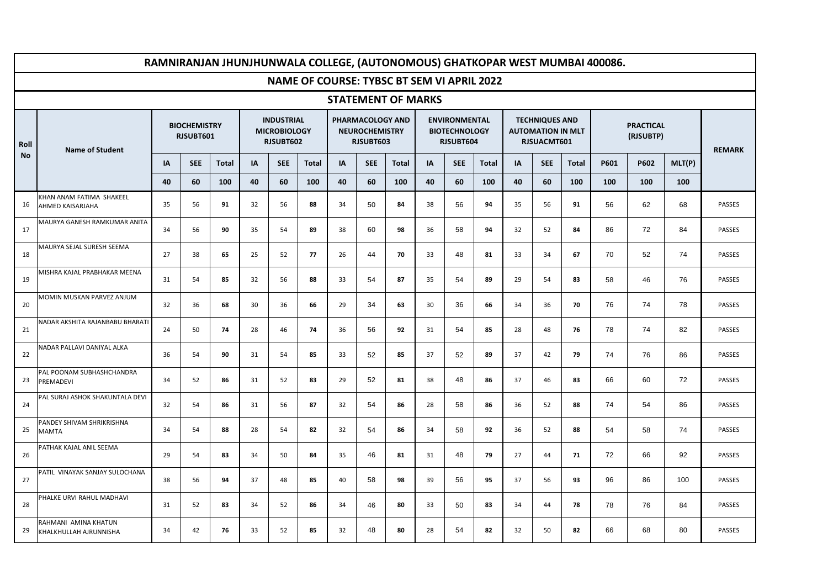|           | RAMNIRANJAN JHUNJHUNWALA COLLEGE, (AUTONOMOUS) GHATKOPAR WEST MUMBAI 400086.<br><b>NAME OF COURSE: TYBSC BT SEM VI APRIL 2022</b> |                                  |            |       |                                                       |            |              |                           |                                                        |              |    |                                                           |              |    |                                                                  |              |      |                               |        |               |  |
|-----------|-----------------------------------------------------------------------------------------------------------------------------------|----------------------------------|------------|-------|-------------------------------------------------------|------------|--------------|---------------------------|--------------------------------------------------------|--------------|----|-----------------------------------------------------------|--------------|----|------------------------------------------------------------------|--------------|------|-------------------------------|--------|---------------|--|
|           |                                                                                                                                   |                                  |            |       |                                                       |            |              |                           |                                                        |              |    |                                                           |              |    |                                                                  |              |      |                               |        |               |  |
|           |                                                                                                                                   |                                  |            |       |                                                       |            |              | <b>STATEMENT OF MARKS</b> |                                                        |              |    |                                                           |              |    |                                                                  |              |      |                               |        |               |  |
| Roll      | <b>Name of Student</b>                                                                                                            | <b>BIOCHEMISTRY</b><br>RJSUBT601 |            |       | <b>INDUSTRIAL</b><br><b>MICROBIOLOGY</b><br>RJSUBT602 |            |              |                           | PHARMACOLOGY AND<br><b>NEUROCHEMISTRY</b><br>RJSUBT603 |              |    | <b>ENVIRONMENTAL</b><br><b>BIOTECHNOLOGY</b><br>RJSUBT604 |              |    | <b>TECHNIQUES AND</b><br><b>AUTOMATION IN MLT</b><br>RJSUACMT601 |              |      | <b>PRACTICAL</b><br>(RJSUBTP) |        |               |  |
| <b>No</b> |                                                                                                                                   | ΙA                               | <b>SEE</b> | Total | IA                                                    | <b>SEE</b> | <b>Total</b> | IA                        | <b>SEE</b>                                             | <b>Total</b> | IA | <b>SEE</b>                                                | <b>Total</b> | IA | <b>SEE</b>                                                       | <b>Total</b> | P601 | P602                          | MLT(P) | <b>REMARK</b> |  |
|           |                                                                                                                                   | 40                               | 60         | 100   | 40                                                    | 60         | 100          | 40                        | 60                                                     | 100          | 40 | 60                                                        | 100          | 40 | 60                                                               | 100          | 100  | 100                           | 100    |               |  |
| 16        | KHAN ANAM FATIMA SHAKEEL<br>AHMED KAISARJAHA                                                                                      | 35                               | 56         | 91    | 32                                                    | 56         | 88           | 34                        | 50                                                     | 84           | 38 | 56                                                        | 94           | 35 | 56                                                               | 91           | 56   | 62                            | 68     | PASSES        |  |
| 17        | <b>MAURYA GANESH RAMKUMAR ANITA</b>                                                                                               | 34                               | 56         | 90    | 35                                                    | 54         | 89           | 38                        | 60                                                     | 98           | 36 | 58                                                        | 94           | 32 | 52                                                               | 84           | 86   | 72                            | 84     | <b>PASSES</b> |  |
| 18        | MAURYA SEJAL SURESH SEEMA                                                                                                         | 27                               | 38         | 65    | 25                                                    | 52         | 77           | 26                        | 44                                                     | 70           | 33 | 48                                                        | 81           | 33 | 34                                                               | 67           | 70   | 52                            | 74     | PASSES        |  |
| 19        | VIISHRA KAJAL PRABHAKAR MEENA                                                                                                     | 31                               | 54         | 85    | 32                                                    | 56         | 88           | 33                        | 54                                                     | 87           | 35 | 54                                                        | 89           | 29 | 54                                                               | 83           | 58   | 46                            | 76     | PASSES        |  |
| 20        | MOMIN MUSKAN PARVEZ ANJUM                                                                                                         | 32                               | 36         | 68    | 30                                                    | 36         | 66           | 29                        | 34                                                     | 63           | 30 | 36                                                        | 66           | 34 | 36                                                               | 70           | 76   | 74                            | 78     | PASSES        |  |
| 21        | <b>NADAR AKSHITA RAJANBABU BHARATI</b>                                                                                            | 24                               | 50         | 74    | 28                                                    | 46         | 74           | 36                        | 56                                                     | 92           | 31 | 54                                                        | 85           | 28 | 48                                                               | 76           | 78   | 74                            | 82     | PASSES        |  |
| 22        | VADAR PALLAVI DANIYAL ALKA                                                                                                        | 36                               | 54         | 90    | 31                                                    | 54         | 85           | 33                        | 52                                                     | 85           | 37 | 52                                                        | 89           | 37 | 42                                                               | 79           | 74   | 76                            | 86     | PASSES        |  |
| 23        | PAL POONAM SUBHASHCHANDRA<br>PREMADEVI                                                                                            | 34                               | 52         | 86    | 31                                                    | 52         | 83           | 29                        | 52                                                     | 81           | 38 | 48                                                        | 86           | 37 | 46                                                               | 83           | 66   | 60                            | 72     | PASSES        |  |
| 24        | PAL SURAJ ASHOK SHAKUNTALA DEVI                                                                                                   | 32                               | 54         | 86    | 31                                                    | 56         | 87           | 32                        | 54                                                     | 86           | 28 | 58                                                        | 86           | 36 | 52                                                               | 88           | 74   | 54                            | 86     | PASSES        |  |
| 25        | <b>PANDEY SHIVAM SHRIKRISHNA</b><br>MAMTA                                                                                         | 34                               | 54         | 88    | 28                                                    | 54         | 82           | 32                        | 54                                                     | 86           | 34 | 58                                                        | 92           | 36 | 52                                                               | 88           | 54   | 58                            | 74     | <b>PASSES</b> |  |
| 26        | <b>PATHAK KAJAL ANIL SEEMA</b>                                                                                                    | 29                               | 54         | 83    | 34                                                    | 50         | 84           | 35                        | 46                                                     | 81           | 31 | 48                                                        | 79           | 27 | 44                                                               | 71           | 72   | 66                            | 92     | PASSES        |  |
| 27        | PATIL VINAYAK SANJAY SULOCHANA                                                                                                    | 38                               | 56         | 94    | 37                                                    | 48         | 85           | 40                        | 58                                                     | 98           | 39 | 56                                                        | 95           | 37 | 56                                                               | 93           | 96   | 86                            | 100    | PASSES        |  |
| 28        | <b>PHALKE URVI RAHUL MADHAVI</b>                                                                                                  | 31                               | 52         | 83    | 34                                                    | 52         | 86           | 34                        | 46                                                     | 80           | 33 | 50                                                        | 83           | 34 | 44                                                               | 78           | 78   | 76                            | 84     | PASSES        |  |
| 29        | RAHMANI AMINA KHATUN<br>KHALKHULLAH AJRUNNISHA                                                                                    | 34                               | 42         | 76    | 33                                                    | 52         | 85           | 32                        | 48                                                     | 80           | 28 | 54                                                        | 82           | 32 | 50                                                               | 82           | 66   | 68                            | 80     | <b>PASSES</b> |  |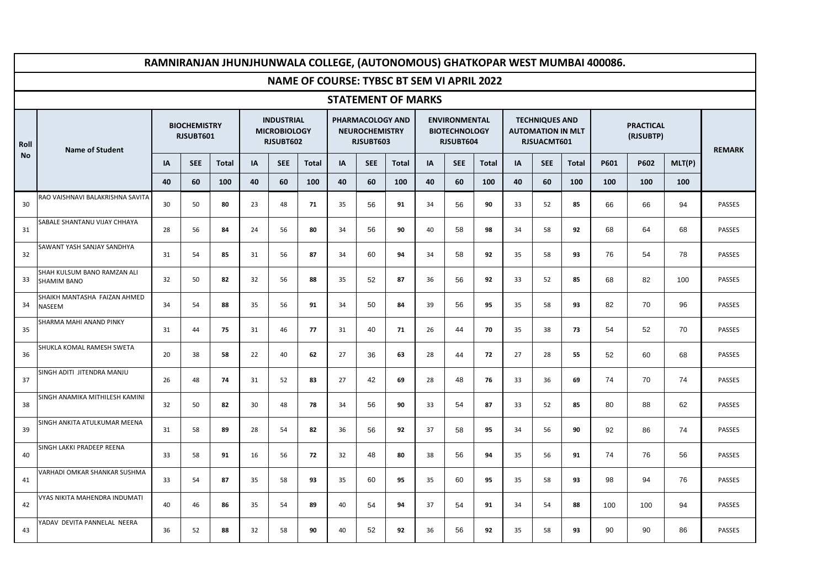|           |                                                   |                                  |            |              |                                                       |            |                                                   |    |                                                        |                           |    |                                                           |              |    |                                                                  |              | RAMNIRANJAN JHUNJHUNWALA COLLEGE, (AUTONOMOUS) GHATKOPAR WEST MUMBAI 400086. |                               |        |               |  |
|-----------|---------------------------------------------------|----------------------------------|------------|--------------|-------------------------------------------------------|------------|---------------------------------------------------|----|--------------------------------------------------------|---------------------------|----|-----------------------------------------------------------|--------------|----|------------------------------------------------------------------|--------------|------------------------------------------------------------------------------|-------------------------------|--------|---------------|--|
|           |                                                   |                                  |            |              |                                                       |            | <b>NAME OF COURSE: TYBSC BT SEM VI APRIL 2022</b> |    |                                                        |                           |    |                                                           |              |    |                                                                  |              |                                                                              |                               |        |               |  |
|           |                                                   |                                  |            |              |                                                       |            |                                                   |    |                                                        | <b>STATEMENT OF MARKS</b> |    |                                                           |              |    |                                                                  |              |                                                                              |                               |        |               |  |
| Roll      | <b>Name of Student</b>                            | <b>BIOCHEMISTRY</b><br>RJSUBT601 |            |              | <b>INDUSTRIAL</b><br><b>MICROBIOLOGY</b><br>RJSUBT602 |            |                                                   |    | PHARMACOLOGY AND<br><b>NEUROCHEMISTRY</b><br>RJSUBT603 |                           |    | <b>ENVIRONMENTAL</b><br><b>BIOTECHNOLOGY</b><br>RJSUBT604 |              |    | <b>TECHNIQUES AND</b><br><b>AUTOMATION IN MLT</b><br>RJSUACMT601 |              |                                                                              | <b>PRACTICAL</b><br>(RJSUBTP) |        |               |  |
| <b>No</b> |                                                   | IA                               | <b>SEE</b> | <b>Total</b> | IA                                                    | <b>SEE</b> | <b>Total</b>                                      | IA | <b>SEE</b>                                             | <b>Total</b>              | IA | <b>SEE</b>                                                | <b>Total</b> | IA | <b>SEE</b>                                                       | <b>Total</b> | P601                                                                         | P602                          | MLT(P) | <b>REMARK</b> |  |
|           |                                                   | 40                               | 60         | 100          | 40                                                    | 60         | 100                                               | 40 | 60                                                     | 100                       | 40 | 60                                                        | 100          | 40 | 60                                                               | 100          | 100                                                                          | 100                           | 100    |               |  |
| 30        | RAO VAISHNAVI BALAKRISHNA SAVITA                  | 30                               | 50         | 80           | 23                                                    | 48         | 71                                                | 35 | 56                                                     | 91                        | 34 | 56                                                        | 90           | 33 | 52                                                               | 85           | 66                                                                           | 66                            | 94     | PASSES        |  |
| 31        | SABALE SHANTANU VIJAY CHHAYA                      | 28                               | 56         | 84           | 24                                                    | 56         | 80                                                | 34 | 56                                                     | 90                        | 40 | 58                                                        | 98           | 34 | 58                                                               | 92           | 68                                                                           | 64                            | 68     | <b>PASSES</b> |  |
| 32        | SAWANT YASH SANJAY SANDHYA                        | 31                               | 54         | 85           | 31                                                    | 56         | 87                                                | 34 | 60                                                     | 94                        | 34 | 58                                                        | 92           | 35 | 58                                                               | 93           | 76                                                                           | 54                            | 78     | <b>PASSES</b> |  |
| 33        | SHAH KULSUM BANO RAMZAN ALI<br><b>SHAMIM BANO</b> | 32                               | 50         | 82           | 32                                                    | 56         | 88                                                | 35 | 52                                                     | 87                        | 36 | 56                                                        | 92           | 33 | 52                                                               | 85           | 68                                                                           | 82                            | 100    | PASSES        |  |
| 34        | SHAIKH MANTASHA FAIZAN AHMED<br><b>NASEEM</b>     | 34                               | 54         | 88           | 35                                                    | 56         | 91                                                | 34 | 50                                                     | 84                        | 39 | 56                                                        | 95           | 35 | 58                                                               | 93           | 82                                                                           | 70                            | 96     | PASSES        |  |
| 35        | SHARMA MAHI ANAND PINKY                           | 31                               | 44         | 75           | 31                                                    | 46         | 77                                                | 31 | 40                                                     | 71                        | 26 | 44                                                        | 70           | 35 | 38                                                               | 73           | 54                                                                           | 52                            | 70     | PASSES        |  |
| 36        | SHUKLA KOMAL RAMESH SWETA                         | 20                               | 38         | 58           | 22                                                    | 40         | 62                                                | 27 | 36                                                     | 63                        | 28 | 44                                                        | 72           | 27 | 28                                                               | 55           | 52                                                                           | 60                            | 68     | PASSES        |  |
| 37        | SINGH ADITI JITENDRA MANJU                        | 26                               | 48         | 74           | 31                                                    | 52         | 83                                                | 27 | 42                                                     | 69                        | 28 | 48                                                        | 76           | 33 | 36                                                               | 69           | 74                                                                           | 70                            | 74     | PASSES        |  |
| 38        | SINGH ANAMIKA MITHILESH KAMINI                    | 32                               | 50         | 82           | 30                                                    | 48         | 78                                                | 34 | 56                                                     | 90                        | 33 | 54                                                        | 87           | 33 | 52                                                               | 85           | 80                                                                           | 88                            | 62     | PASSES        |  |
| 39        | SINGH ANKITA ATULKUMAR MEENA                      | 31                               | 58         | 89           | 28                                                    | 54         | 82                                                | 36 | 56                                                     | 92                        | 37 | 58                                                        | 95           | 34 | 56                                                               | 90           | 92                                                                           | 86                            | 74     | <b>PASSES</b> |  |
| 40        | SINGH LAKKI PRADEEP REENA                         | 33                               | 58         | 91           | 16                                                    | 56         | 72                                                | 32 | 48                                                     | 80                        | 38 | 56                                                        | 94           | 35 | 56                                                               | 91           | 74                                                                           | 76                            | 56     | <b>PASSES</b> |  |
| 41        | <b>/ARHADI OMKAR SHANKAR SUSHMA</b>               | 33                               | 54         | 87           | 35                                                    | 58         | 93                                                | 35 | 60                                                     | 95                        | 35 | 60                                                        | 95           | 35 | 58                                                               | 93           | 98                                                                           | 94                            | 76     | PASSES        |  |
| 42        | VYAS NIKITA MAHENDRA INDUMATI                     | 40                               | 46         | 86           | 35                                                    | 54         | 89                                                | 40 | 54                                                     | 94                        | 37 | 54                                                        | 91           | 34 | 54                                                               | 88           | 100                                                                          | 100                           | 94     | PASSES        |  |
| 43        | YADAV DEVITA PANNELAL NEERA                       | 36                               | 52         | 88           | 32                                                    | 58         | 90                                                | 40 | 52                                                     | 92                        | 36 | 56                                                        | 92           | 35 | 58                                                               | 93           | 90                                                                           | 90                            | 86     | <b>PASSES</b> |  |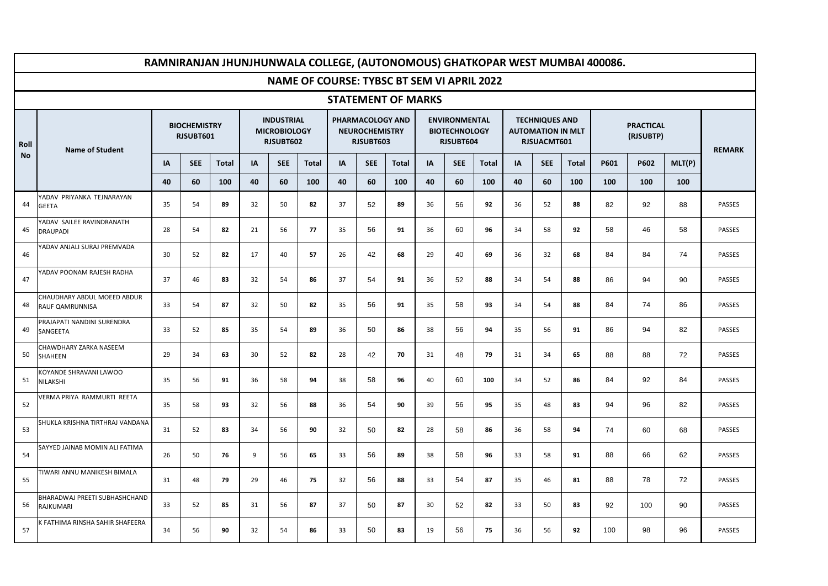|      |                                                       |                                  |            |              |                                                       |            |              |    |                                                        |                           |    |                                                           |              |    |                                                                  |              | RAMNIRANJAN JHUNJHUNWALA COLLEGE, (AUTONOMOUS) GHATKOPAR WEST MUMBAI 400086. |               |        |               |
|------|-------------------------------------------------------|----------------------------------|------------|--------------|-------------------------------------------------------|------------|--------------|----|--------------------------------------------------------|---------------------------|----|-----------------------------------------------------------|--------------|----|------------------------------------------------------------------|--------------|------------------------------------------------------------------------------|---------------|--------|---------------|
|      |                                                       |                                  |            |              |                                                       |            |              |    |                                                        |                           |    | <b>NAME OF COURSE: TYBSC BT SEM VI APRIL 2022</b>         |              |    |                                                                  |              |                                                                              |               |        |               |
|      |                                                       |                                  |            |              |                                                       |            |              |    |                                                        | <b>STATEMENT OF MARKS</b> |    |                                                           |              |    |                                                                  |              |                                                                              |               |        |               |
| Roll | <b>Name of Student</b>                                | <b>BIOCHEMISTRY</b><br>RJSUBT601 |            |              | <b>INDUSTRIAL</b><br><b>MICROBIOLOGY</b><br>RJSUBT602 |            |              |    | PHARMACOLOGY AND<br><b>NEUROCHEMISTRY</b><br>RJSUBT603 |                           |    | <b>ENVIRONMENTAL</b><br><b>BIOTECHNOLOGY</b><br>RJSUBT604 |              |    | <b>TECHNIQUES AND</b><br><b>AUTOMATION IN MLT</b><br>RJSUACMT601 |              |                                                                              | <b>REMARK</b> |        |               |
| No   |                                                       | IA                               | <b>SEE</b> | <b>Total</b> | IA                                                    | <b>SEE</b> | <b>Total</b> | IA | <b>SEE</b>                                             | <b>Total</b>              | IA | <b>SEE</b>                                                | <b>Total</b> | IA | <b>SEE</b>                                                       | <b>Total</b> | P601                                                                         | P602          | MLT(P) |               |
|      |                                                       | 40                               | 60         | 100          | 40                                                    | 60         | 100          | 40 | 60                                                     | 100                       | 40 | 60                                                        | 100          | 40 | 60                                                               | 100          | 100                                                                          | 100           | 100    |               |
| 44   | YADAV PRIYANKA TEJNARAYAN<br><b>GEETA</b>             | 35                               | 54         | 89           | 32                                                    | 50         | 82           | 37 | 52                                                     | 89                        | 36 | 56                                                        | 92           | 36 | 52                                                               | 88           | 82                                                                           | 92            | 88     | PASSES        |
| 45   | YADAV SAILEE RAVINDRANATH<br><b>DRAUPADI</b>          | 28                               | 54         | 82           | 21                                                    | 56         | 77           | 35 | 56                                                     | 91                        | 36 | 60                                                        | 96           | 34 | 58                                                               | 92           | 58                                                                           | 46            | 58     | <b>PASSES</b> |
| 46   | YADAV ANJALI SURAJ PREMVADA                           | 30                               | 52         | 82           | 17                                                    | 40         | 57           | 26 | 42                                                     | 68                        | 29 | 40                                                        | 69           | 36 | 32                                                               | 68           | 84                                                                           | 84            | 74     | PASSES        |
| 47   | ADAV POONAM RAJESH RADHA                              | 37                               | 46         | 83           | 32                                                    | 54         | 86           | 37 | 54                                                     | 91                        | 36 | 52                                                        | 88           | 34 | 54                                                               | 88           | 86                                                                           | 94            | 90     | PASSES        |
| 48   | CHAUDHARY ABDUL MOEED ABDUR<br><b>RAUF QAMRUNNISA</b> | 33                               | 54         | 87           | 32                                                    | 50         | 82           | 35 | 56                                                     | 91                        | 35 | 58                                                        | 93           | 34 | 54                                                               | 88           | 84                                                                           | 74            | 86     | PASSES        |
| 49   | PRAJAPATI NANDINI SURENDRA<br>SANGEETA                | 33                               | 52         | 85           | 35                                                    | 54         | 89           | 36 | 50                                                     | 86                        | 38 | 56                                                        | 94           | 35 | 56                                                               | 91           | 86                                                                           | 94            | 82     | PASSES        |
| 50   | CHAWDHARY ZARKA NASEEM<br>SHAHEEN                     | 29                               | 34         | 63           | 30                                                    | 52         | 82           | 28 | 42                                                     | 70                        | 31 | 48                                                        | 79           | 31 | 34                                                               | 65           | 88                                                                           | 88            | 72     | PASSES        |
| 51   | KOYANDE SHRAVANI LAWOO<br>NILAKSHI                    | 35                               | 56         | 91           | 36                                                    | 58         | 94           | 38 | 58                                                     | 96                        | 40 | 60                                                        | 100          | 34 | 52                                                               | 86           | 84                                                                           | 92            | 84     | PASSES        |
| 52   | /ERMA PRIYA RAMMURTI REETA                            | 35                               | 58         | 93           | 32                                                    | 56         | 88           | 36 | 54                                                     | 90                        | 39 | 56                                                        | 95           | 35 | 48                                                               | 83           | 94                                                                           | 96            | 82     | PASSES        |
| 53   | SHUKLA KRISHNA TIRTHRAJ VANDANA                       | 31                               | 52         | 83           | 34                                                    | 56         | 90           | 32 | 50                                                     | 82                        | 28 | 58                                                        | 86           | 36 | 58                                                               | 94           | 74                                                                           | 60            | 68     | PASSES        |
| 54   | SAYYED JAINAB MOMIN ALI FATIMA                        | 26                               | 50         | 76           | 9                                                     | 56         | 65           | 33 | 56                                                     | 89                        | 38 | 58                                                        | 96           | 33 | 58                                                               | 91           | 88                                                                           | 66            | 62     | PASSES        |
| 55   | <b>TIWARI ANNU MANIKESH BIMALA</b>                    | 31                               | 48         | 79           | 29                                                    | 46         | 75           | 32 | 56                                                     | 88                        | 33 | 54                                                        | 87           | 35 | 46                                                               | 81           | 88                                                                           | 78            | 72     | PASSES        |
| 56   | BHARADWAJ PREETI SUBHASHCHAND<br>RAJKUMARI            | 33                               | 52         | 85           | 31                                                    | 56         | 87           | 37 | 50                                                     | 87                        | 30 | 52                                                        | 82           | 33 | 50                                                               | 83           | 92                                                                           | 100           | 90     | PASSES        |
| 57   | <b>EATHIMA RINSHA SAHIR SHAFEERA</b>                  | 34                               | 56         | 90           | 32                                                    | 54         | 86           | 33 | 50                                                     | 83                        | 19 | 56                                                        | 75           | 36 | 56                                                               | 92           | 100                                                                          | 98            | 96     | <b>PASSES</b> |